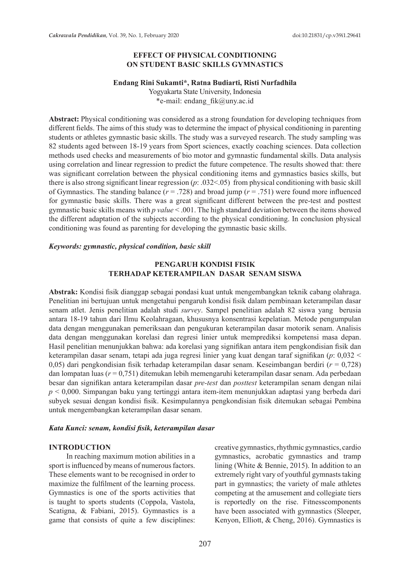## **EFFECT OF PHYSICAL CONDITIONING ON STUDENT BASIC SKILLS GYMNASTICS**

#### **Endang Rini Sukamti\*, Ratna Budiarti, Risti Nurfadhila**

Yogyakarta State University, Indonesia \*e-mail: endang\_fik@uny.ac.id

**Abstract:** Physical conditioning was considered as a strong foundation for developing techniques from different fields. The aims of this study was to determine the impact of physical conditioning in parenting students or athletes gymnastic basic skills. The study was a surveyed research. The study sampling was 82 students aged between 18-19 years from Sport sciences, exactly coaching sciences. Data collection methods used checks and measurements of bio motor and gymnastic fundamental skills. Data analysis using correlation and linear regression to predict the future competence. The results showed that: there was significant correlation between the physical conditioning items and gymnastics basics skills, but there is also strong significant linear regression (*p*: .032<.05) from physical conditioning with basic skill of Gymnastics. The standing balance  $(r = .728)$  and broad jump  $(r = .751)$  were found more influenced for gymnastic basic skills. There was a great significant different between the pre-test and posttest gymnastic basic skills means with *p value* < .001. The high standard deviation between the items showed the different adaptation of the subjects according to the physical conditioning. In conclusion physical conditioning was found as parenting for developing the gymnastic basic skills.

### *Keywords: gymnastic, physical condition, basic skill*

## **PENGARUH KONDISI FISIK TERHADAP KETERAMPILAN DASAR SENAM SISWA**

**Abstrak:** Kondisi fisik dianggap sebagai pondasi kuat untuk mengembangkan teknik cabang olahraga. Penelitian ini bertujuan untuk mengetahui pengaruh kondisi fisik dalam pembinaan keterampilan dasar senam atlet. Jenis penelitian adalah studi *survey*. Sampel penelitian adalah 82 siswa yang berusia antara 18-19 tahun dari Ilmu Keolahragaan, khususnya konsentrasi kepelatian. Metode pengumpulan data dengan menggunakan pemeriksaan dan pengukuran keterampilan dasar motorik senam. Analisis data dengan menggunakan korelasi dan regresi linier untuk memprediksi kompetensi masa depan. Hasil penelitian menunjukkan bahwa: ada korelasi yang signifikan antara item pengkondisian fisik dan keterampilan dasar senam, tetapi ada juga regresi linier yang kuat dengan taraf signifikan (*p*: 0,032 < 0,05) dari pengkondisian fisik terhadap keterampilan dasar senam. Keseimbangan berdiri (*r* = 0,728) dan lompatan luas (*r* = 0,751) ditemukan lebih memengaruhi keterampilan dasar senam. Ada perbedaan besar dan signifikan antara keterampilan dasar *pre-test* dan *posttest* keterampilan senam dengan nilai *p* < 0,000. Simpangan baku yang tertinggi antara item-item menunjukkan adaptasi yang berbeda dari subyek sesuai dengan kondisi fisik. Kesimpulannya pengkondisian fisik ditemukan sebagai Pembina untuk mengembangkan keterampilan dasar senam.

#### *Kata Kunci: senam, kondisi fisik, keterampilan dasar*

#### **INTRODUCTION**

In reaching maximum motion abilities in a sport is influenced by means of numerous factors. These elements want to be recognised in order to maximize the fulfilment of the learning process. Gymnastics is one of the sports activities that is taught to sports students (Coppola, Vastola, Scatigna, & Fabiani, 2015). Gymnastics is a game that consists of quite a few disciplines: creative gymnastics, rhythmic gymnastics, cardio gymnastics, acrobatic gymnastics and tramp lining (White & Bennie, 2015). In addition to an extremely right vary of youthful gymnasts taking part in gymnastics; the variety of male athletes competing at the amusement and collegiate tiers is reportedly on the rise. Fitnesscomponents have been associated with gymnastics (Sleeper, Kenyon, Elliott, & Cheng, 2016). Gymnastics is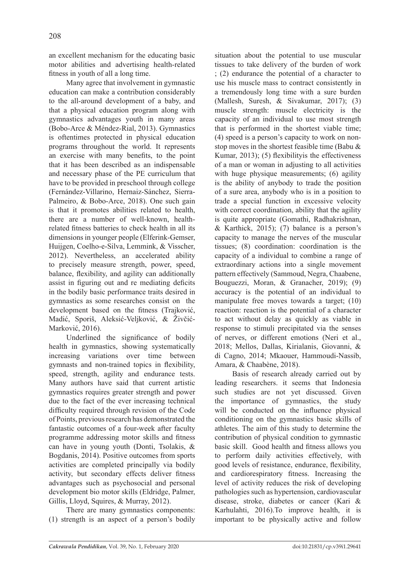an excellent mechanism for the educating basic motor abilities and advertising health-related fitness in youth of all a long time.

Many agree that involvement in gymnastic education can make a contribution considerably to the all-around development of a baby, and that a physical education program along with gymnastics advantages youth in many areas (Bobo-Arce & Méndez-Rial, 2013). Gymnastics is oftentimes protected in physical education programs throughout the world. It represents an exercise with many benefits, to the point that it has been described as an indispensable and necessary phase of the PE curriculum that have to be provided in preschool through college (Fernández-Villarino, Hernaiz-Sánchez, Sierra-Palmeiro, & Bobo-Arce, 2018). One such gain is that it promotes abilities related to health, there are a number of well-known, healthrelated fitness batteries to check health in all its dimensions in younger people (Elferink-Gemser, Huijgen, Coelho-e-Silva, Lemmink, & Visscher, 2012). Nevertheless, an accelerated ability to precisely measure strength, power, speed, balance, flexibility, and agility can additionally assist in figuring out and re mediating deficits in the bodily basic performance traits desired in gymnastics as some researches consist on the development based on the fitness (Trajković, Madić, Sporiš, Aleksić-Veljković, & Živčić-Marković, 2016).

Underlined the significance of bodily health in gymnastics, showing systematically increasing variations over time between gymnasts and non-trained topics in flexibility, speed, strength, agility and endurance tests. Many authors have said that current artistic gymnastics requires greater strength and power due to the fact of the ever increasing technical difficulty required through revision of the Code of Points, previous research has demonstrated the fantastic outcomes of a four-week after faculty programme addressing motor skills and fitness can have in young youth (Donti, Tsolakis, & Bogdanis, 2014). Positive outcomes from sports activities are completed principally via bodily activity, but secondary effects deliver fitness advantages such as psychosocial and personal development bio motor skills (Eldridge, Palmer, Gillis, Lloyd, Squires, & Murray, 2012).

There are many gymnastics components: (1) strength is an aspect of a person's bodily situation about the potential to use muscular tissues to take delivery of the burden of work ; (2) endurance the potential of a character to use his muscle mass to contract consistently in a tremendously long time with a sure burden (Mallesh, Suresh, & Sivakumar, 2017); (3) muscle strength: muscle electricity is the capacity of an individual to use most strength that is performed in the shortest viable time; (4) speed is a person's capacity to work on nonstop moves in the shortest feasible time (Babu & Kumar, 2013); (5) flexibilityis the effectiveness of a man or woman in adjusting to all activities with huge physique measurements; (6) agility is the ability of anybody to trade the position of a sure area, anybody who is in a position to trade a special function in excessive velocity with correct coordination, ability that the agility is quite appropriate (Gomathi, Radhakrishnan, & Karthick, 2015); (7) balance is a person's capacity to manage the nerves of the muscular tissues; (8) coordination: coordination is the capacity of a individual to combine a range of extraordinary actions into a single movement pattern effectively (Sammoud, Negra, Chaabene, Bouguezzi, Moran, & Granacher, 2019); (9) accuracy is the potential of an individual to manipulate free moves towards a target; (10) reaction: reaction is the potential of a character to act without delay as quickly as viable in response to stimuli precipitated via the senses of nerves, or different emotions (Neri et al., 2018; Mellos, Dallas, Kirialanis, Giovanni, & di Cagno, 2014; Mkaouer, Hammoudi-Nassib, Amara, & Chaabène, 2018).

Basis of research already carried out by leading researchers. it seems that Indonesia such studies are not yet discussed. Given the importance of gymnastics, the study will be conducted on the influence physical conditioning on the gymnastics basic skills of athletes. The aim of this study to determine the contribution of physical condition to gymnastic basic skill. Good health and fitness allows you to perform daily activities effectively, with good levels of resistance, endurance, flexibility, and cardiorespiratory fitness. Increasing the level of activity reduces the risk of developing pathologies such as hypertension, cardiovascular disease, stroke, diabetes or cancer (Kari & Karhulahti, 2016).To improve health, it is important to be physically active and follow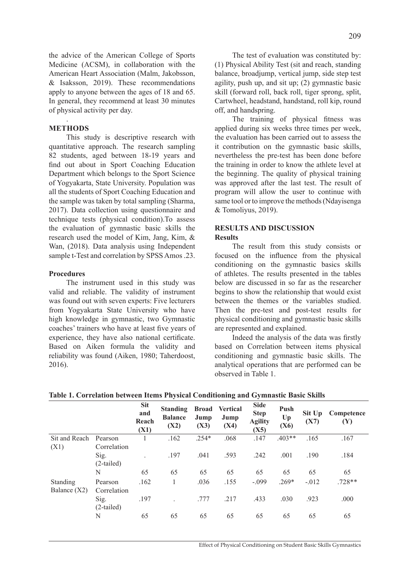the advice of the American College of Sports Medicine (ACSM), in collaboration with the American Heart Association (Malm, Jakobsson, & Isaksson, 2019). These recommendations apply to anyone between the ages of 18 and 65. In general, they recommend at least 30 minutes of physical activity per day.

### . **METHODS**

This study is descriptive research with quantitative approach. The research sampling 82 students, aged between 18-19 years and find out about in Sport Coaching Education Department which belongs to the Sport Science of Yogyakarta, State University. Population was all the students of Sport Coaching Education and the sample was taken by total sampling (Sharma, 2017). Data collection using questionnaire and technique tests (physical condition).To assess the evaluation of gymnastic basic skills the research used the model of Kim, Jang, Kim, & Wan, (2018). Data analysis using Independent sample t-Test and correlation by SPSS Amos .23.

### **Procedures**

The instrument used in this study was valid and reliable. The validity of instrument was found out with seven experts: Five lecturers from Yogyakarta State University who have high knowledge in gymnastic, two Gymnastic coaches' trainers who have at least five years of experience, they have also national certificate. Based on Aiken formula the validity and reliability was found (Aiken, 1980; Taherdoost, 2016).

The test of evaluation was constituted by: (1) Physical Ability Test (sit and reach, standing balance, broadjump, vertical jump, side step test agility, push up, and sit up; (2) gymnastic basic skill (forward roll, back roll, tiger sprong, split, Cartwheel, headstand, handstand, roll kip, round off, and handspring.

The training of physical fitness was applied during six weeks three times per week, the evaluation has been carried out to assess the it contribution on the gymnastic basic skills, nevertheless the pre-test has been done before the training in order to know the athlete level at the beginning. The quality of physical training was approved after the last test. The result of program will allow the user to continue with same tool or to improve the methods (Ndayisenga & Tomoliyus, 2019).

## **RESULTS AND DISCUSSION Results**

The result from this study consists or focused on the influence from the physical conditioning on the gymnastic basics skills of athletes. The results presented in the tables below are discussed in so far as the researcher begins to show the relationship that would exist between the themes or the variables studied. Then the pre-test and post-test results for physical conditioning and gymnastic basic skills are represented and explained.

Indeed the analysis of the data was firstly based on Correlation between items physical conditioning and gymnastic basic skills. The analytical operations that are performed can be observed in Table 1.

|                                   |                                     |                                    | $\overline{\phantom{a}}$                  |                              | $\circ$                         | ັ                                                    |                    |                |                   |
|-----------------------------------|-------------------------------------|------------------------------------|-------------------------------------------|------------------------------|---------------------------------|------------------------------------------------------|--------------------|----------------|-------------------|
|                                   |                                     | <b>Sit</b><br>and<br>Reach<br>(X1) | <b>Standing</b><br><b>Balance</b><br>(X2) | <b>Broad</b><br>Jump<br>(X3) | <b>Vertical</b><br>Jump<br>(X4) | <b>Side</b><br><b>Step</b><br><b>Agility</b><br>(X5) | Push<br>Up<br>(X6) | Sit Up<br>(X7) | Competence<br>(Y) |
| Sit and Reach                     | Pearson                             |                                    | .162                                      | $.254*$                      | .068                            | .147                                                 | $.403**$           | .165           | .167              |
| (X1)                              | Correlation<br>Sig.<br>$(2-tailed)$ | $\ddot{\phantom{0}}$               | .197                                      | .041                         | .593                            | .242                                                 | .001               | .190           | .184              |
|                                   | N                                   | 65                                 | 65                                        | 65                           | 65                              | 65                                                   | 65                 | 65             | 65                |
| <b>Standing</b><br>Balance $(X2)$ | Pearson<br>Correlation              | .162                               | 1                                         | .036                         | .155                            | $-.099$                                              | $.269*$            | $-.012$        | $.728**$          |
|                                   | Sig.<br>$(2-tailed)$                | .197                               |                                           | .777                         | .217                            | .433                                                 | .030               | .923           | .000              |
|                                   | N                                   | 65                                 | 65                                        | 65                           | 65                              | 65                                                   | 65                 | 65             | 65                |

**Table 1. Correlation between Items Physical Conditioning and Gymnastic Basic Skills**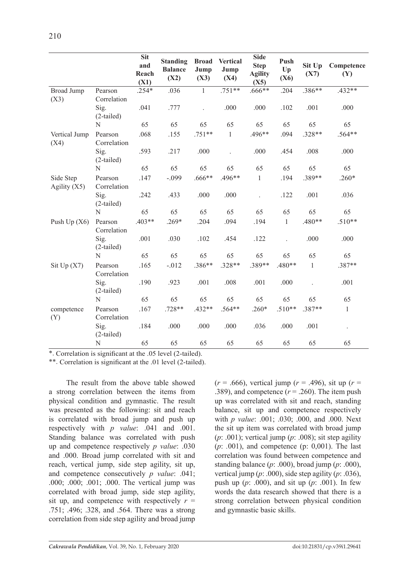|                             |                        | <b>Sit</b><br>and<br>Reach<br>(X1) | <b>Standing</b><br><b>Balance</b><br>(X2) | <b>Broad</b><br>Jump<br>(X3) | <b>Vertical</b><br>Jump<br>(X4) | <b>Side</b><br><b>Step</b><br><b>Agility</b><br>(X5) | Push<br>Up<br>(X6) | Sit Up<br>(X7) | Competence<br>(Y) |
|-----------------------------|------------------------|------------------------------------|-------------------------------------------|------------------------------|---------------------------------|------------------------------------------------------|--------------------|----------------|-------------------|
| <b>Broad Jump</b><br>(X3)   | Pearson<br>Correlation | $.254*$                            | .036                                      | $\mathbf{1}$                 | $.751**$                        | .666**                                               | .204               | .386**         | $.432**$          |
|                             | Sig.<br>$(2-tailed)$   | .041                               | .777                                      |                              | .000                            | .000                                                 | .102               | .001           | .000              |
|                             | N                      | 65                                 | 65                                        | 65                           | 65                              | 65                                                   | 65                 | 65             | 65                |
| Vertical Jump<br>(X4)       | Pearson<br>Correlation | .068                               | .155                                      | $.751**$                     | $\mathbf{1}$                    | .496**                                               | .094               | $.328**$       | .564**            |
|                             | Sig.<br>$(2-tailed)$   | .593                               | .217                                      | .000                         |                                 | .000                                                 | .454               | .008           | .000              |
|                             | N                      | 65                                 | 65                                        | 65                           | 65                              | 65                                                   | 65                 | 65             | 65                |
| Side Step<br>Agility $(X5)$ | Pearson<br>Correlation | .147                               | $-.099$                                   | .666**                       | .496**                          | $\mathbf{1}$                                         | .194               | .389**         | $.260*$           |
|                             | Sig.<br>$(2-tailed)$   | .242                               | .433                                      | .000                         | .000                            | $\ddot{\phantom{a}}$                                 | .122               | .001           | .036              |
|                             | N                      | 65                                 | 65                                        | 65                           | 65                              | 65                                                   | 65                 | 65             | 65                |
| Push Up $(X6)$              | Pearson<br>Correlation | $.403**$                           | $.269*$                                   | .204                         | .094                            | .194                                                 | $\mathbf{1}$       | .480**         | $.510**$          |
|                             | Sig.<br>$(2-tailed)$   | .001                               | .030                                      | .102                         | .454                            | .122                                                 |                    | .000           | .000              |
|                             | N                      | 65                                 | 65                                        | 65                           | 65                              | 65                                                   | 65                 | 65             | 65                |
| Sit Up $(X7)$               | Pearson<br>Correlation | .165                               | $-.012$                                   | .386**                       | .328**                          | .389**                                               | .480**             | $\mathbf{1}$   | .387**            |
|                             | Sig.<br>$(2-tailed)$   | .190                               | .923                                      | .001                         | .008                            | .001                                                 | .000               |                | .001              |
|                             | N                      | 65                                 | 65                                        | 65                           | 65                              | 65                                                   | 65                 | 65             | 65                |
| competence<br>(Y)           | Pearson<br>Correlation | .167                               | $.728**$                                  | $.432**$                     | $.564**$                        | $.260*$                                              | $.510**$           | .387**         | $\mathbf{1}$      |
|                             | Sig.<br>$(2-tailed)$   | .184                               | .000                                      | .000                         | .000                            | .036                                                 | .000               | .001           | $\Box$            |
|                             | ${\bf N}$              | 65                                 | 65                                        | 65                           | 65                              | 65                                                   | 65                 | 65             | 65                |

\*. Correlation is significant at the .05 level (2-tailed).

\*\*. Correlation is significant at the .01 level (2-tailed).

The result from the above table showed a strong correlation between the items from physical condition and gymnastic. The result was presented as the following: sit and reach is correlated with broad jump and push up respectively with *p value*: .041 and .001. Standing balance was correlated with push up and competence respectively *p value*: .030 and .000. Broad jump correlated with sit and reach, vertical jump, side step agility, sit up, and competence consecutively *p value*: .041; .000; .000; .001; .000. The vertical jump was correlated with broad jump, side step agility, sit up, and competence with respectively  $r =$ .751; .496; .328, and .564. There was a strong correlation from side step agility and broad jump

(*r* = .666), vertical jump (*r* = .496), sit up (*r* = .389), and competence  $(r = .260)$ . The item push up was correlated with sit and reach, standing balance, sit up and competence respectively with *p value*: .001; .030; .000, and .000. Next the sit up item was correlated with broad jump ( $p$ : .001); vertical jump ( $p$ : .008); sit step agility (*p*: *.*001), and competence (p: 0,001). The last correlation was found between competence and standing balance (*p*: .000), broad jump (*p*: .000), vertical jump (*p*: .000), side step agility (*p*: .036), push up (*p*: .000), and sit up (*p*: .001). In few words the data research showed that there is a strong correlation between physical condition and gymnastic basic skills.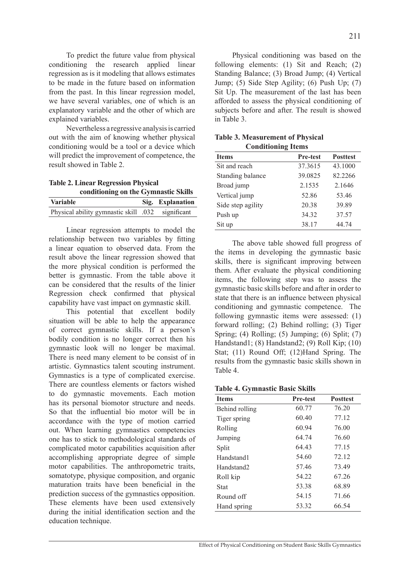To predict the future value from physical conditioning the research applied linear regression as is it modeling that allows estimates to be made in the future based on information from the past. In this linear regression model, we have several variables, one of which is an explanatory variable and the other of which are explained variables.

Nevertheless a regressive analysis is carried out with the aim of knowing whether physical conditioning would be a tool or a device which will predict the improvement of competence, the result showed in Table 2.

**Table 2. Linear Regression Physical conditioning on the Gymnastic Skills**

| <b>Variable</b>                                   | Sig. Explanation |
|---------------------------------------------------|------------------|
| Physical ability gymnastic skill .032 significant |                  |

Linear regression attempts to model the relationship between two variables by fitting a linear equation to observed data. From the result above the linear regression showed that the more physical condition is performed the better is gymnastic. From the table above it can be considered that the results of the linier Regression check confirmed that physical capability have vast impact on gymnastic skill.

This potential that excellent bodily situation will be able to help the appearance of correct gymnastic skills. If a person's bodily condition is no longer correct then his gymnastic look will no longer be maximal. There is need many element to be consist of in artistic. Gymnastics talent scouting instrument. Gymnastics is a type of complicated exercise. There are countless elements or factors wished to do gymnastic movements. Each motion has its personal biomotor structure and needs. So that the influential bio motor will be in accordance with the type of motion carried out. When learning gymnastics competencies one has to stick to methodological standards of complicated motor capabilities acquisition after accomplishing appropriate degree of simple motor capabilities. The anthropometric traits, somatotype, physique composition, and organic maturation traits have been beneficial in the prediction success of the gymnastics opposition. These elements have been used extensively during the initial identification section and the education technique.

Physical conditioning was based on the following elements: (1) Sit and Reach; (2) Standing Balance; (3) Broad Jump; (4) Vertical Jump; (5) Side Step Agility; (6) Push Up; (7) Sit Up. The measurement of the last has been afforded to assess the physical conditioning of subjects before and after. The result is showed in Table 3.

| <b>Conditioning Items</b> |                 |                 |  |  |  |  |  |
|---------------------------|-----------------|-----------------|--|--|--|--|--|
| <b>Items</b>              | <b>Pre-test</b> | <b>Posttest</b> |  |  |  |  |  |
| Sit and reach             | 37.3615         | 43.1000         |  |  |  |  |  |
| Standing balance          | 39.0825         | 82.2266         |  |  |  |  |  |
| Broad jump                | 2.1535          | 2.1646          |  |  |  |  |  |
| Vertical jump             | 52.86           | 53.46           |  |  |  |  |  |
| Side step agility         | 20.38           | 39.89           |  |  |  |  |  |
| Push up                   | 34.32           | 37.57           |  |  |  |  |  |
| Sit up                    | 38.17           | 44.74           |  |  |  |  |  |

**Table 3. Measurement of Physical Conditioning Items**

The above table showed full progress of the items in developing the gymnastic basic skills, there is significant improving between them. After evaluate the physical conditioning items, the following step was to assess the gymnastic basic skills before and after in order to state that there is an influence between physical conditioning and gymnastic competence. The following gymnastic items were assessed: (1) forward rolling; (2) Behind rolling; (3) Tiger Spring; (4) Rolling; (5) Jumping; (6) Split; (7) Handstand1; (8) Handstand2; (9) Roll Kip; (10) Stat; (11) Round Off; (12)Hand Spring. The results from the gymnastic basic skills shown in Table 4.

|  | <b>Table 4. Gymnastic Basic Skills</b> |  |  |
|--|----------------------------------------|--|--|
|--|----------------------------------------|--|--|

| <b>Items</b>           | <b>Pre-test</b> | <b>Posttest</b> |  |  |
|------------------------|-----------------|-----------------|--|--|
| Behind rolling         | 60.77           | 76.20           |  |  |
| Tiger spring           | 60.40           | 77.12           |  |  |
| Rolling                | 60.94           | 76.00           |  |  |
| Jumping                | 64 74           | 76.60           |  |  |
| Split                  | 64.43           | 77.15           |  |  |
| Handstand1             | 54.60           | 72.12           |  |  |
| Handstand <sub>2</sub> | 5746            | 73.49           |  |  |
| Roll kip               | 54 22           | 67.26           |  |  |
| Stat                   | 53.38           | 68.89           |  |  |
| Round off              | 54.15           | 71.66           |  |  |
| Hand spring            | 53.32           | 66.54           |  |  |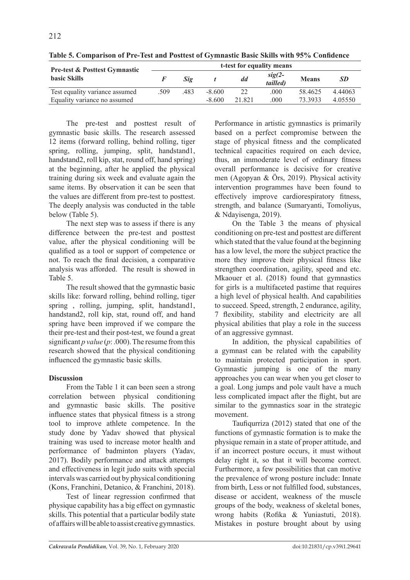| <b>Pre-test &amp; Posttest Gymnastic</b> | t-test for equality means |            |          |        |                      |              |           |  |  |
|------------------------------------------|---------------------------|------------|----------|--------|----------------------|--------------|-----------|--|--|
| <b>basic Skills</b>                      |                           | <i>Sig</i> |          | dd     | $sig(2-$<br>tailled) | <b>Means</b> | <b>SD</b> |  |  |
| Test equality variance assumed           | 509                       | .483       | $-8.600$ | 22     | .000                 | 58.4625      | 4.44063   |  |  |
| Equality variance no assumed             |                           |            | $-8,600$ | 21 821 | .000                 | 73.3933      | 4 05550   |  |  |

**Table 5. Comparison of Pre-Test and Posttest of Gymnastic Basic Skills with 95% Confidence**

The pre-test and posttest result of gymnastic basic skills. The research assessed 12 items (forward rolling, behind rolling, tiger spring, rolling, jumping, split, handstand1, handstand2, roll kip, stat, round off, hand spring) at the beginning, after he applied the physical training during six week and evaluate again the same items. By observation it can be seen that the values are different from pre-test to posttest. The deeply analysis was conducted in the table below (Table 5).

The next step was to assess if there is any difference between the pre-test and posttest value, after the physical conditioning will be qualified as a tool or support of competence or not. To reach the final decision, a comparative analysis was afforded. The result is showed in Table 5.

The result showed that the gymnastic basic skills like: forward rolling, behind rolling, tiger spring , rolling, jumping, split, handstand1, handstand2, roll kip, stat, round off, and hand spring have been improved if we compare the their pre-test and their post-test, we found a great significant *p value* (*p*: .000). The resume from this research showed that the physical conditioning influenced the gymnastic basic skills.

# **Discussion**

From the Table 1 it can been seen a strong correlation between physical conditioning and gymnastic basic skills. The positive influence states that physical fitness is a strong tool to improve athlete competence. In the study done by Yadav showed that physical training was used to increase motor health and performance of badminton players (Yadav, 2017). Bodily performance and attack attempts and effectiveness in legit judo suits with special intervals was carried out by physical conditioning (Kons, Franchini, Detanico, & Franchini, 2018).

Test of linear regression confirmed that physique capability has a big effect on gymnastic skills. This potential that a particular bodily state of affairs will be able to assist creative gymnastics. Performance in artistic gymnastics is primarily based on a perfect compromise between the stage of physical fitness and the complicated technical capacities required on each device, thus, an immoderate level of ordinary fitness overall performance is decisive for creative men (Agopyan & Örs, 2019). Physical activity intervention programmes have been found to effectively improve cardiorespiratory fitness, strength, and balance (Sumaryanti, Tomoliyus, & Ndayisenga, 2019).

On the Table 3 the means of physical conditioning on pre-test and posttest are different which stated that the value found at the beginning has a low level, the more the subject practice the more they improve their physical fitness like strengthen coordination, agility, speed and etc. Mkaouer et al. (2018) found that gymnastics for girls is a multifaceted pastime that requires a high level of physical health. And capabilities to succeed. Speed, strength, 2 endurance, agility, 7 flexibility, stability and electricity are all physical abilities that play a role in the success of an aggressive gymnast.

In addition, the physical capabilities of a gymnast can be related with the capability to maintain protected participation in sport. Gymnastic jumping is one of the many approaches you can wear when you get closer to a goal. Long jumps and pole vault have a much less complicated impact after the flight, but are similar to the gymnastics soar in the strategic movement.

Taufiqurriza (2012) stated that one of the functions of gymnastic formation is to make the physique remain in a state of proper attitude, and if an incorrect posture occurs, it must without delay right it, so that it will become correct. Furthermore, a few possibilities that can motive the prevalence of wrong posture include: Innate from birth, Less or not fulfilled food, substances, disease or accident, weakness of the muscle groups of the body, weakness of skeletal bones, wrong habits (Rofika & Yuniastuti, 2018). Mistakes in posture brought about by using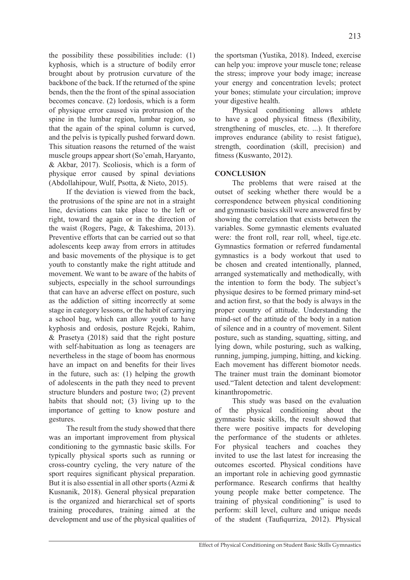the possibility these possibilities include: (1) kyphosis, which is a structure of bodily error brought about by protrusion curvature of the backbone of the back. If the returned of the spine bends, then the the front of the spinal association becomes concave. (2) lordosis, which is a form of physique error caused via protrusion of the spine in the lumbar region, lumbar region, so that the again of the spinal column is curved, and the pelvis is typically pushed forward down. This situation reasons the returned of the waist muscle groups appear short (So'emah, Haryanto, & Akbar, 2017). Scoliosis, which is a form of physique error caused by spinal deviations (Abdollahipour, Wulf, Psotta, & Nieto, 2015).

If the deviation is viewed from the back, the protrusions of the spine are not in a straight line, deviations can take place to the left or right, toward the again or in the direction of the waist (Rogers, Page, & Takeshima, 2013). Preventive efforts that can be carried out so that adolescents keep away from errors in attitudes and basic movements of the physique is to get youth to constantly make the right attitude and movement. We want to be aware of the habits of subjects, especially in the school surroundings that can have an adverse effect on posture, such as the addiction of sitting incorrectly at some stage in category lessons, or the habit of carrying a school bag, which can allow youth to have kyphosis and ordosis, posture Rejeki, Rahim, & Prasetya (2018) said that the right posture with self-habituation as long as teenagers are nevertheless in the stage of boom has enormous have an impact on and benefits for their lives in the future, such as: (1) helping the growth of adolescents in the path they need to prevent structure blunders and posture two; (2) prevent habits that should not; (3) living up to the importance of getting to know posture and gestures.

The result from the study showed that there was an important improvement from physical conditioning to the gymnastic basic skills. For typically physical sports such as running or cross-country cycling, the very nature of the sport requires significant physical preparation. But it is also essential in all other sports (Azmi  $\&$ Kusnanik, 2018). General physical preparation is the organized and hierarchical set of sports training procedures, training aimed at the development and use of the physical qualities of the sportsman (Yustika, 2018). Indeed, exercise can help you: improve your muscle tone; release the stress; improve your body image; increase your energy and concentration levels; protect your bones; stimulate your circulation; improve your digestive health.

Physical conditioning allows athlete to have a good physical fitness (flexibility, strengthening of muscles, etc. ...). It therefore improves endurance (ability to resist fatigue), strength, coordination (skill, precision) and fitness (Kuswanto, 2012).

## **CONCLUSION**

The problems that were raised at the outset of seeking whether there would be a correspondence between physical conditioning and gymnastic basics skill were answered first by showing the correlation that exists between the variables. Some gymnastic elements evaluated were: the front roll, rear roll, wheel, tige.etc. Gymnastics formation or referred fundamental gymnastics is a body workout that used to be chosen and created intentionally, planned, arranged systematically and methodically, with the intention to form the body. The subject's physique desires to be formed primary mind-set and action first, so that the body is always in the proper country of attitude. Understanding the mind-set of the attitude of the body in a nation of silence and in a country of movement. Silent posture, such as standing, squatting, sitting, and lying down, while posturing, such as walking, running, jumping, jumping, hitting, and kicking. Each movement has different biomotor needs. The trainer must train the dominant biomotor used."Talent detection and talent development: kinanthropometric.

This study was based on the evaluation of the physical conditioning about the gymnastic basic skills, the result showed that there were positive impacts for developing the performance of the students or athletes. For physical teachers and coaches they invited to use the last latest for increasing the outcomes escorted. Physical conditions have an important role in achieving good gymnastic performance. Research confirms that healthy young people make better competence. The training of physical conditioning" is used to perform: skill level, culture and unique needs of the student (Taufiqurriza, 2012). Physical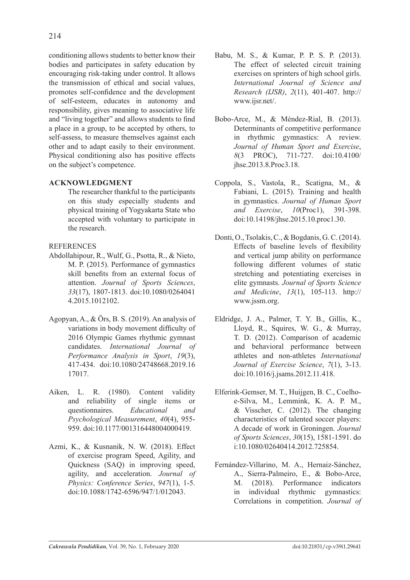conditioning allows students to better know their bodies and participates in safety education by encouraging risk-taking under control. It allows the transmission of ethical and social values, promotes self-confidence and the development of self-esteem, educates in autonomy and responsibility, gives meaning to associative life and "living together" and allows students to find a place in a group, to be accepted by others, to self-assess, to measure themselves against each other and to adapt easily to their environment. Physical conditioning also has positive effects on the subject's competence.

# **ACKNOWLEDGMENT**

The researcher thankful to the participants on this study especially students and physical training of Yogyakarta State who accepted with voluntary to participate in the research.

# **REFERENCES**

- Abdollahipour, R., Wulf, G., Psotta, R., & Nieto, M. P. (2015). Performance of gymnastics skill benefits from an external focus of attention. *Journal of Sports Sciences*, *33*(17), 1807-1813. doi:10.1080/0264041 4.2015.1012102.
- Agopyan, A., & Örs, B. S. (2019). An analysis of variations in body movement difficulty of 2016 Olympic Games rhythmic gymnast candidates. *International Journal of Performance Analysis in Sport*, *19*(3), 417-434. doi:10.1080/24748668.2019.16 17017.
- Aiken, L. R. (1980). Content validity and reliability of single items or questionnaires. *Educational and Psychological Measurement*, *40*(4), 955- 959. doi:10.1177/001316448004000419.
- Azmi, K., & Kusnanik, N. W. (2018). Effect of exercise program Speed, Agility, and Quickness (SAQ) in improving speed, agility, and acceleration. *Journal of Physics: Conference Series*, *947*(1), 1-5. doi:10.1088/1742-6596/947/1/012043.
- Babu, M. S., & Kumar, P. P. S. P. (2013). The effect of selected circuit training exercises on sprinters of high school girls. *International Journal of Science and Research (IJSR)*, *2*(11), 401-407. http:// www.ijsr.net/.
- Bobo-Arce, M., & Méndez-Rial, B. (2013). Determinants of competitive performance in rhythmic gymnastics: A review. *Journal of Human Sport and Exercise*, *8*(3 PROC), 711-727. doi:10.4100/ jhse.2013.8.Proc3.18.
- Coppola, S., Vastola, R., Scatigna, M., & Fabiani, L. (2015). Training and health in gymnastics. *Journal of Human Sport and Exercise*, *10*(Proc1), 391-398. doi:10.14198/jhse.2015.10.proc1.30.
- Donti, O., Tsolakis, C., & Bogdanis, G. C. (2014). Effects of baseline levels of flexibility and vertical jump ability on performance following different volumes of static stretching and potentiating exercises in elite gymnasts. *Journal of Sports Science and Medicine*, *13*(1), 105-113. http:// www.jssm.org.
- Eldridge, J. A., Palmer, T. Y. B., Gillis, K., Lloyd, R., Squires, W. G., & Murray, T. D. (2012). Comparison of academic and behavioral performance between athletes and non-athletes *International Journal of Exercise Science*, *7*(1), 3-13. doi:10.1016/j.jsams.2012.11.418.
- Elferink-Gemser, M. T., Huijgen, B. C., Coelhoe-Silva, M., Lemmink, K. A. P. M., & Visscher, C. (2012). The changing characteristics of talented soccer players: A decade of work in Groningen. *Journal of Sports Sciences*, *30*(15), 1581-1591. do i:10.1080/02640414.2012.725854.
- Fernández-Villarino, M. A., Hernaiz-Sánchez, A., Sierra-Palmeiro, E., & Bobo-Arce, M. (2018). Performance indicators in individual rhythmic gymnastics: Correlations in competition. *Journal of*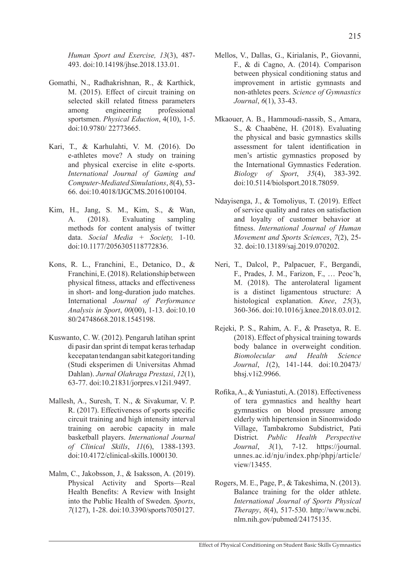- Gomathi, N., Radhakrishnan, R., & Karthick, M. (2015). Effect of circuit training on selected skill related fitness parameters among engineering professional sportsmen. *Physical Eduction*, 4(10), 1-5. doi:10.9780/ 22773665.
- Kari, T., & Karhulahti, V. M. (2016). Do e-athletes move? A study on training and physical exercise in elite e-sports. *International Journal of Gaming and Computer-Mediated Simulations*, *8*(4), 53- 66. doi:10.4018/IJGCMS.2016100104.
- Kim, H., Jang, S. M., Kim, S., & Wan, A. (2018). Evaluating sampling methods for content analysis of twitter data. *Social Media + Society,* 1-10. doi:10.1177/2056305118772836.
- Kons, R. L., Franchini, E., Detanico, D., & Franchini, E. (2018). Relationship between physical fitness, attacks and effectiveness in short- and long-duration judo matches. International *Journal of Performance Analysis in Sport*, *00*(00), 1-13. doi:10.10 80/24748668.2018.1545198.
- Kuswanto, C. W. (2012). Pengaruh latihan sprint di pasir dan sprint di tempat keras terhadap kecepatan tendangan sabit kategori tanding (Studi eksperimen di Universitas Ahmad Dahlan). *Jurnal Olahraga Prestasi*, *12*(1), 63-77. doi:10.21831/jorpres.v12i1.9497.
- Mallesh, A., Suresh, T. N., & Sivakumar, V. P. R. (2017). Effectiveness of sports specific circuit training and high intensity interval training on aerobic capacity in male basketball players. *International Journal of Clinical Skills*, *11*(6), 1388-1393. doi:10.4172/clinical-skills.1000130.
- Malm, C., Jakobsson, J., & Isaksson, A. (2019). Physical Activity and Sports—Real Health Benefits: A Review with Insight into the Public Health of Sweden. *Sports*, *7*(127), 1-28. doi:10.3390/sports7050127.
- Mellos, V., Dallas, G., Kirialanis, P., Giovanni, F., & di Cagno, A. (2014). Comparison between physical conditioning status and improvement in artistic gymnasts and non-athletes peers. *Science of Gymnastics Journal*, *6*(1), 33-43.
- Mkaouer, A. B., Hammoudi-nassib, S., Amara, S., & Chaabène, H. (2018). Evaluating the physical and basic gymnastics skills assessment for talent identification in men's artistic gymnastics proposed by the International Gymnastics Federation. *Biology of Sport*, *35*(4), 383-392. doi:10.5114/biolsport.2018.78059.
- Ndayisenga, J., & Tomoliyus, T. (2019). Effect of service quality and rates on satisfaction and loyalty of customer behavior at fitness. *International Journal of Human Movement and Sports Sciences*, *7*(2), 25- 32. doi:10.13189/saj.2019.070202.
- Neri, T., Dalcol, P., Palpacuer, F., Bergandi, F., Prades, J. M., Farizon, F., … Peoc'h, M. (2018). The anterolateral ligament is a distinct ligamentous structure: A histological explanation. *Knee*, *25*(3), 360-366. doi:10.1016/j.knee.2018.03.012.
- Rejeki, P. S., Rahim, A. F., & Prasetya, R. E. (2018). Effect of physical training towards body balance in overweight condition. *Biomolecular and Health Science Journal*, *1*(2), 141-144. doi:10.20473/ bhsj.v1i2.9966.
- Rofika, A., & Yuniastuti, A. (2018). Effectiveness of tera gymnastics and healthy heart gymnastics on blood pressure among elderly with hipertension in Sinomwidodo Village, Tambakromo Subdistrict, Pati District. *Public Health Perspective Journal*, *3*(1), 7-12. https://journal. unnes.ac.id/nju/index.php/phpj/article/ view/13455.
- Rogers, M. E., Page, P., & Takeshima, N. (2013). Balance training for the older athlete. *International Journal of Sports Physical Therapy*, *8*(4), 517-530. http://www.ncbi. nlm.nih.gov/pubmed/24175135.